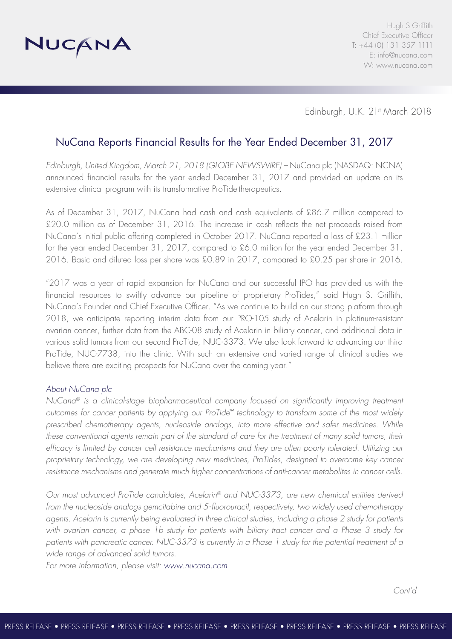

Edinburgh, U.K. 21st March 2018

## NuCana Reports Financial Results for the Year Ended December 31, 2017

*Edinburgh, United Kingdom, March 21, 2018 (GLOBE NEWSWIRE) –* NuCana plc (NASDAQ: NCNA) announced financial results for the year ended December 31, 2017 and provided an update on its extensive clinical program with its transformative ProTide therapeutics.

As of December 31, 2017, NuCana had cash and cash equivalents of £86.7 million compared to £20.0 million as of December 31, 2016. The increase in cash reflects the net proceeds raised from NuCana's initial public offering completed in October 2017. NuCana reported a loss of £23.1 million for the year ended December 31, 2017, compared to £6.0 million for the year ended December 31, 2016. Basic and diluted loss per share was £0.89 in 2017, compared to £0.25 per share in 2016.

"2017 was a year of rapid expansion for NuCana and our successful IPO has provided us with the financial resources to swiftly advance our pipeline of proprietary ProTides," said Hugh S. Griffith, NuCana's Founder and Chief Executive Officer. "As we continue to build on our strong platform through 2018, we anticipate reporting interim data from our PRO-105 study of Acelarin in platinum-resistant ovarian cancer, further data from the ABC-08 study of Acelarin in biliary cancer, and additional data in various solid tumors from our second ProTide, NUC-3373. We also look forward to advancing our third ProTide, NUC-7738, into the clinic. With such an extensive and varied range of clinical studies we believe there are exciting prospects for NuCana over the coming year."

#### *About NuCana plc*

*NuCana® is a clinical-stage biopharmaceutical company focused on significantly improving treatment outcomes for cancer patients by applying our ProTide™ technology to transform some of the most widely prescribed chemotherapy agents, nucleoside analogs, into more effective and safer medicines. While these conventional agents remain part of the standard of care for the treatment of many solid tumors, their efficacy is limited by cancer cell resistance mechanisms and they are often poorly tolerated. Utilizing our proprietary technology, we are developing new medicines, ProTides, designed to overcome key cancer resistance mechanisms and generate much higher concentrations of anti-cancer metabolites in cancer cells.*

*Our most advanced ProTide candidates, Acelarin® and NUC-3373, are new chemical entities derived from the nucleoside analogs gemcitabine and 5-fluorouracil, respectively, two widely used chemotherapy agents. Acelarin is currently being evaluated in three clinical studies, including a phase 2 study for patients with ovarian cancer, a phase 1b study for patients with biliary tract cancer and a Phase 3 study for patients with pancreatic cancer. NUC-3373 is currently in a Phase 1 study for the potential treatment of a wide range of advanced solid tumors.* 

*For more information, please visit: www.nucana.com*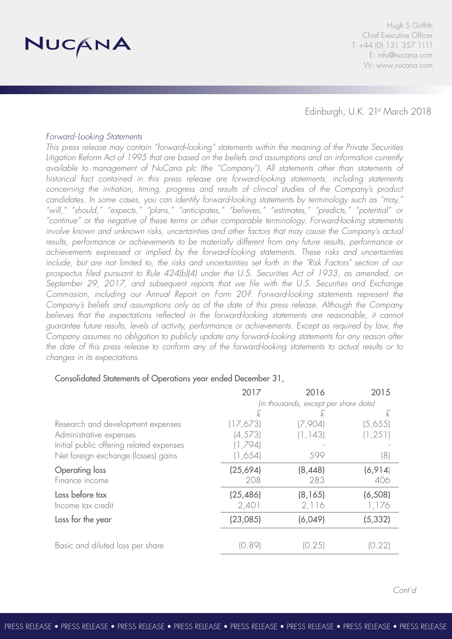

Edinburgh, U.K. 21st March 2018

#### *Forward-Looking Statements*

*This press release may contain "forward*‐*looking" statements within the meaning of the Private Securities Litigation Reform Act of 1995 that are based on the beliefs and assumptions and on information currently available to management of NuCana plc (the "Company"). All statements other than statements of historical fact contained in this press release are forward-looking statements, including statements concerning the initiation, timing, progress and results of clinical studies of the Company's product candidates. In some cases, you can identify forward-looking statements by terminology such as "may," "will," "should," "expects," "plans," "anticipates," "believes," "estimates," "predicts," "potential" or "continue" or the negative of these terms or other comparable terminology. Forward-looking statements involve known and unknown risks, uncertainties and other factors that may cause the Company's actual*  results, performance or achievements to be materially different from any future results, performance or *achievements expressed or implied by the forward-looking statements. These risks and uncertainties include, but are not limited to, the risks and uncertainties set forth in the "Risk Factors" section of our prospectus filed pursuant to Rule 424(b)(4) under the U.S. Securities Act of 1933, as amended, on September 29, 2017, and subsequent reports that we file with the U.S. Securities and Exchange Commission, including our Annual Report on Form 20-F. Forward-looking statements represent the Company's beliefs and assumptions only as of the date of this press release. Although the Company*  believes that the expectations reflected in the forward-looking statements are reasonable, it cannot *guarantee future results, levels of activity, performance or achievements. Except as required by law, the Company assumes no obligation to publicly update any forward*‐*looking statements for any reason after*  the date of this press release to conform any of the forward-looking statements to actual results or to *changes in its expectations.*

### Consolidated Statements of Operations year ended December 31,

|                                          | 2017                                  | 2016     | 2015     |
|------------------------------------------|---------------------------------------|----------|----------|
|                                          | (in thousands, except per share data) |          |          |
|                                          | £                                     | Ł.       | £        |
| Research and development expenses        | (17,673)                              | (7,904)  | (5,655)  |
| Administrative expenses                  | (4, 573)                              | (1, 143) | (1, 251) |
| Initial public offering related expenses | (1,794)                               |          |          |
| Net foreign exchange (losses) gains      | (1,654)                               | 599      | (8)      |
| Operating loss                           | (25,694)                              | (8,448)  | (6, 914) |
| Finance income                           | 208                                   | 283      | 406      |
| Loss before tax                          | (25, 486)                             | (8, 165) | (6, 508) |
| Income tax credit                        | 2,401                                 | 2,116    | 1,176    |
| Loss for the year                        | (23,085)                              | (6,049)  | (5, 332) |
|                                          |                                       |          |          |
| Basic and diluted loss per share         | 10.891                                | (0.25)   | .22      |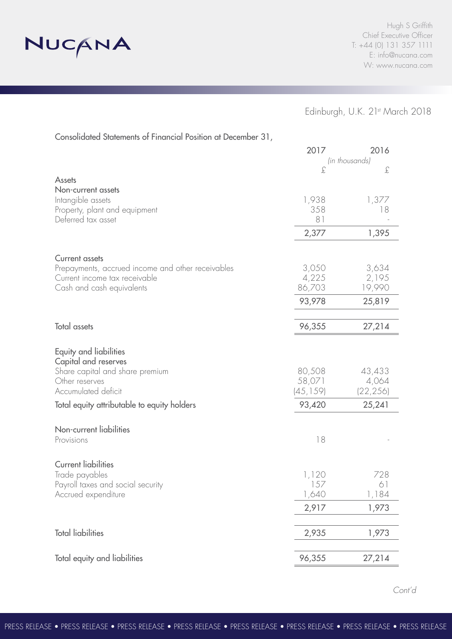

### Edinburgh, U.K. 21st March 2018

Consolidated Statements of Financial Position at December 31,

|                                                   | 2017      | 2016           |  |
|---------------------------------------------------|-----------|----------------|--|
|                                                   |           | (in thousands) |  |
|                                                   | £         | £              |  |
| <b>Assets</b><br>Non-current assets               |           |                |  |
| Intangible assets                                 | 1,938     | 1,377          |  |
| Property, plant and equipment                     | 358       | 18             |  |
| Deferred tax asset                                | 81        |                |  |
|                                                   | 2,377     | 1,395          |  |
| <b>Current assets</b>                             |           |                |  |
| Prepayments, accrued income and other receivables | 3,050     | 3,634          |  |
| Current income tax receivable                     | 4,225     | 2,195          |  |
| Cash and cash equivalents                         | 86,703    | 19,990         |  |
|                                                   | 93,978    | 25,819         |  |
| Total assets                                      | 96,355    | 27,214         |  |
|                                                   |           |                |  |
| Equity and liabilities<br>Capital and reserves    |           |                |  |
| Share capital and share premium                   | 80,508    | 43,433         |  |
| Other reserves                                    | 58,071    | 4,064          |  |
| Accumulated deficit                               | (45, 159) | (22, 256)      |  |
| Total equity attributable to equity holders       | 93,420    | 25,241         |  |
| Non-current liabilities                           |           |                |  |
| Provisions                                        | 18        |                |  |
| <b>Current liabilities</b>                        |           |                |  |
| Trade payables                                    | 1,120     | 728            |  |
| Payroll taxes and social security                 | 157       | 61             |  |
| Accrued expenditure                               | 1,640     | 1,184          |  |
|                                                   | 2,917     | 1,973          |  |
| <b>Total liabilities</b>                          | 2,935     | 1,973          |  |
| Total equity and liabilities                      | 96,355    | 27,214         |  |
|                                                   |           |                |  |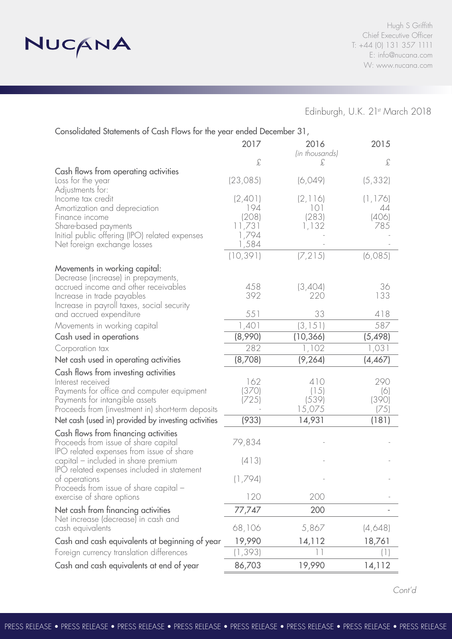

# Edinburgh, U.K. 21st March 2018

| Consolidated Statements of Cash Flows for the year ended December 31,           |                 |                        |                                     |  |  |
|---------------------------------------------------------------------------------|-----------------|------------------------|-------------------------------------|--|--|
|                                                                                 | 2017            | 2016<br>(in thousands) | 2015                                |  |  |
|                                                                                 | £               | £                      | $\mathcal{L}% _{G}=\mathcal{L}_{G}$ |  |  |
| Cash flows from operating activities                                            |                 |                        |                                     |  |  |
| Loss for the year<br>Adjustments for:                                           | (23, 085)       | (6,049)                | (5, 332)                            |  |  |
| Income tax credit                                                               | (2,401)         | (2, 116)               | (1, 176)                            |  |  |
| Amortization and depreciation                                                   | 194             | 101                    | 44                                  |  |  |
| Finance income                                                                  | (208)           | (283)                  | (406)                               |  |  |
| Share-based payments<br>Initial public offering (IPO) related expenses          | 11,731<br>1,794 | 1,132                  | 785                                 |  |  |
| Net foreign exchange losses                                                     | 1,584           |                        |                                     |  |  |
|                                                                                 | (10, 391)       | (7, 215)               | (6,085)                             |  |  |
| Movements in working capital:                                                   |                 |                        |                                     |  |  |
| Decrease (increase) in prepayments,                                             |                 |                        |                                     |  |  |
| accrued income and other receivables                                            | 458<br>392      | (3,404)<br>220         | 36<br>133                           |  |  |
| Increase in trade payables<br>Increase in payroll taxes, social security        |                 |                        |                                     |  |  |
| and accrued expenditure                                                         | 551             | 33                     | 418                                 |  |  |
| Movements in working capital                                                    | 1,401           | (3, 151)               | 587                                 |  |  |
| Cash used in operations                                                         | (8,990)         | (10, 366)              | (5, 498)                            |  |  |
| Corporation tax                                                                 | 282             | 1,102                  | 1,031                               |  |  |
| Net cash used in operating activities                                           | (8,708)         | (9, 264)               | (4, 467)                            |  |  |
| Cash flows from investing activities                                            |                 |                        |                                     |  |  |
| Interest received                                                               | 162             | 410                    | 290                                 |  |  |
| Payments for office and computer equipment<br>Payments for intangible assets    | (370)<br>(725)  | (15)<br>(539)          | (6)<br>(390)                        |  |  |
| Proceeds from (investment in) short-term deposits                               |                 | 15,075                 | (75)                                |  |  |
| Net cash (used in) provided by investing activities                             | (933)           | 14,931                 | (181)                               |  |  |
| Cash flows from financing activities                                            |                 |                        |                                     |  |  |
| Proceeds from issue of share capital                                            | 79,834          |                        |                                     |  |  |
| IPO related expenses from issue of share<br>capital – included in share premium | (413)           |                        |                                     |  |  |
| IPO related expenses included in statement                                      |                 |                        |                                     |  |  |
| of operations                                                                   | (1,794)         |                        |                                     |  |  |
| Proceeds from issue of share capital -                                          |                 |                        |                                     |  |  |
| exercise of share options                                                       | 120             | 200                    |                                     |  |  |
| Net cash from financing activities<br>Net increase (decrease) in cash and       | 77,747          | 200                    |                                     |  |  |
| cash equivalents                                                                | 68,106          | 5,867                  | (4,648)                             |  |  |
| Cash and cash equivalents at beginning of year                                  | 19,990          | 14,112                 | 18,761                              |  |  |
| Foreign currency translation differences                                        | (1, 393)        | 11                     |                                     |  |  |
| Cash and cash equivalents at end of year                                        | 86,703          | 19,990                 | 14,112                              |  |  |
|                                                                                 |                 |                        |                                     |  |  |